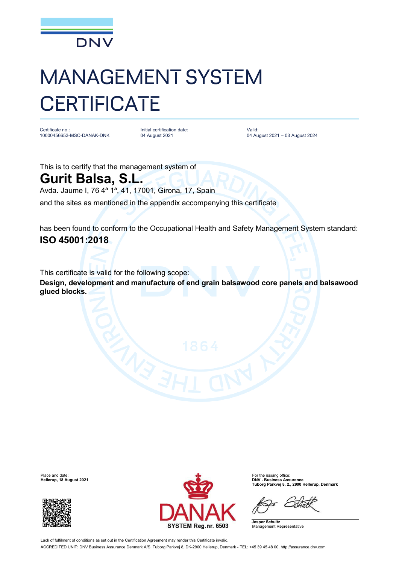

## MANAGEMENT SYSTEM **CERTIFICATE**

Certificate no.: 10000456653-MSC-DANAK-DNK

Initial certification date: 04 August 2021

Valid: 04 August 2021 – 03 August 2024

This is to certify that the management system of

## **Gurit Balsa, S.L.**

Avda. Jaume I, 76 4ª 1ª, 41, 17001, Girona, 17, Spain

and the sites as mentioned in the appendix accompanying this certificate

has been found to conform to the Occupational Health and Safety Management System standard: **ISO 45001:2018**

This certificate is valid for the following scope:

**Design, development and manufacture of end grain balsawood core panels and balsawood glued blocks.**

**Hellerup, 18 August 2021** 





**Tuborg Parkvej 8, 2., 2900 Hellerup, Denmark**

**Jesper Schultz** Management Representative

Lack of fulfilment of conditions as set out in the Certification Agreement may render this Certificate invalid. ACCREDITED UNIT: DNV Business Assurance Denmark A/S, Tuborg Parkvej 8, DK-2900 Hellerup, Denmark - TEL: +45 39 45 48 00. <http://assurance.dnv.com>